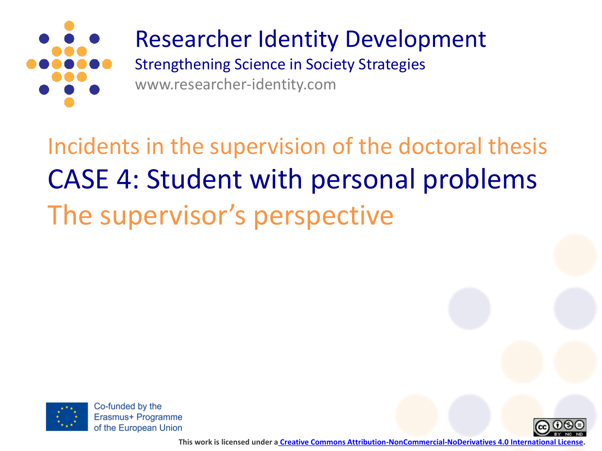

## Researcher Identity Development

Strengthening Science in Society Strategies www.researcher-identity.com

Incidents in the supervision of the doctoral thesis CASE 4: Student with personal problems The supervisor's perspective



Co-funded by the Erasmus+ Programme of the European Union



**This work is licensed under a [Creative Commons Attribution-NonCommercial-NoDerivatives 4.0 International License.](http://creativecommons.org/licenses/by-nc-nd/4.0/)**